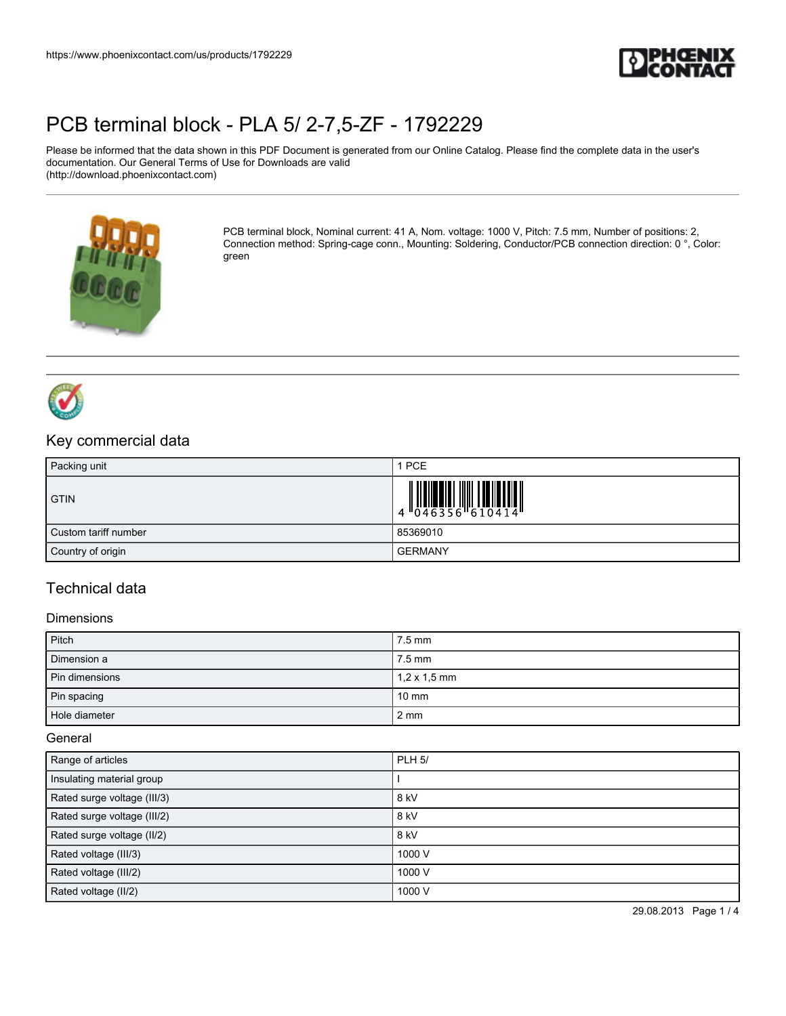

Please be informed that the data shown in this PDF Document is generated from our Online Catalog. Please find the complete data in the user's documentation. Our General Terms of Use for Downloads are valid (http://download.phoenixcontact.com)



PCB terminal block, Nominal current: 41 A, Nom. voltage: 1000 V, Pitch: 7.5 mm, Number of positions: 2, Connection method: Spring-cage conn., Mounting: Soldering, Conductor/PCB connection direction: 0 °, Color: green



### Key commercial data

| Packing unit         | I PCE          |
|----------------------|----------------|
| <b>GTIN</b>          |                |
| Custom tariff number | 85369010       |
| Country of origin    | <b>GERMANY</b> |

### Technical data

#### **Dimensions**

| Pitch          | 7.5 mm              |
|----------------|---------------------|
| Dimension a    | $7.5 \text{ mm}$    |
| Pin dimensions | $1,2 \times 1,5$ mm |
| Pin spacing    | $10 \text{ mm}$     |
| Hole diameter  | $2 \, \text{mm}$    |

General

| Range of articles           | <b>PLH 5/</b> |
|-----------------------------|---------------|
| Insulating material group   |               |
| Rated surge voltage (III/3) | 8 kV          |
| Rated surge voltage (III/2) | 8 kV          |
| Rated surge voltage (II/2)  | 8 kV          |
| Rated voltage (III/3)       | 1000 V        |
| Rated voltage (III/2)       | 1000 V        |
| Rated voltage (II/2)        | 1000 V        |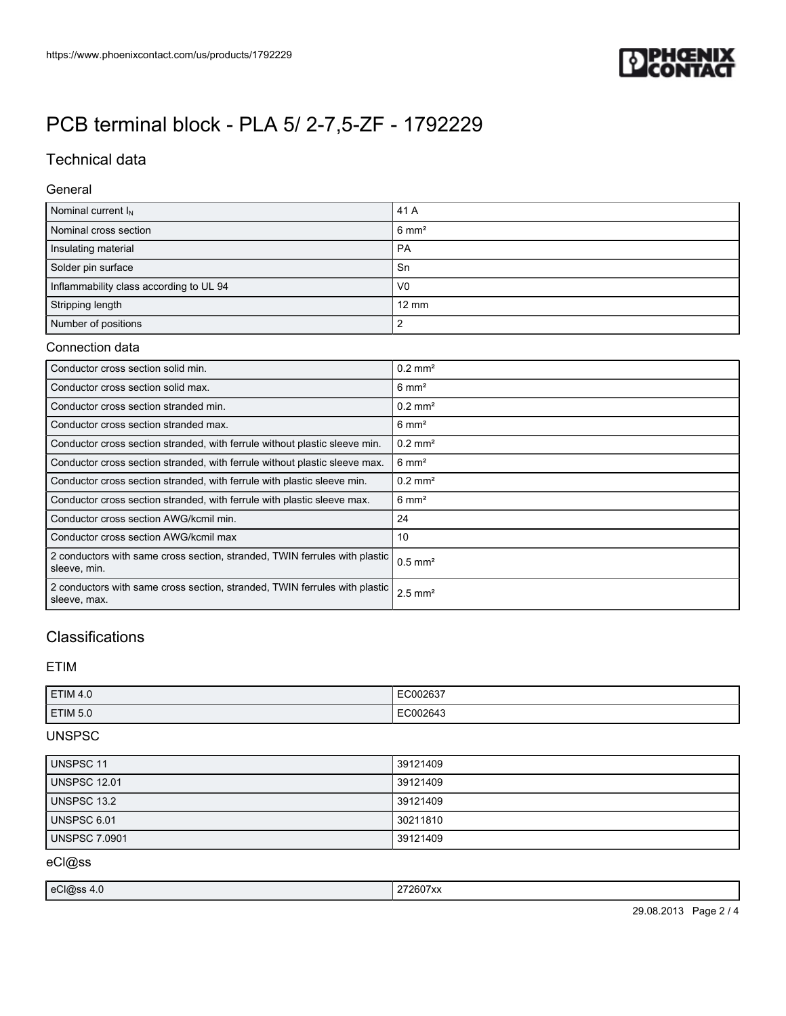

## Technical data

#### General

| Nominal current $I_N$                   | 41 A             |
|-----------------------------------------|------------------|
| Nominal cross section                   | $6 \text{ mm}^2$ |
| Insulating material                     | <b>PA</b>        |
| Solder pin surface                      | Sn               |
| Inflammability class according to UL 94 | V <sub>0</sub>   |
| Stripping length                        | $12 \text{ mm}$  |
| Number of positions                     |                  |

### Connection data

| Conductor cross section solid min.                                                         | $0.2 \text{ mm}^2$    |
|--------------------------------------------------------------------------------------------|-----------------------|
| Conductor cross section solid max.                                                         | $6 \text{ mm}^2$      |
| Conductor cross section stranded min.                                                      | $0.2 \text{ mm}^2$    |
| Conductor cross section stranded max.                                                      | $6 \text{ mm}^2$      |
| Conductor cross section stranded, with ferrule without plastic sleeve min.                 | $0.2 \text{ mm}^2$    |
| Conductor cross section stranded, with ferrule without plastic sleeve max.                 | $6 \text{ mm}^2$      |
| Conductor cross section stranded, with ferrule with plastic sleeve min.                    | $0.2 \text{ mm}^2$    |
| Conductor cross section stranded, with ferrule with plastic sleeve max.                    | $6 \text{ mm}^2$      |
| Conductor cross section AWG/kcmil min.                                                     | 24                    |
| Conductor cross section AWG/kcmil max                                                      | 10                    |
| 2 conductors with same cross section, stranded, TWIN ferrules with plastic<br>sleeve, min. | $0.5$ mm <sup>2</sup> |
| 2 conductors with same cross section, stranded, TWIN ferrules with plastic<br>sleeve, max. | $2.5$ mm <sup>2</sup> |

## **Classifications**

### ETIM

| <b>ETIM 4.0</b> | C002637<br>.<br>$\sim$ |
|-----------------|------------------------|
| <b>ETIM 5.0</b> | C002643<br>.           |

### UNSPSC

| UNSPSC 11           | 39121409 |
|---------------------|----------|
| <b>UNSPSC 12.01</b> | 39121409 |
| UNSPSC 13.2         | 39121409 |
| <b>UNSPSC 6.01</b>  | 30211810 |
| UNSPSC 7.0901       | 39121409 |

eCl@ss

|  | 'ہ ،<br>$\mathbf{r}$ | <br>^^ |
|--|----------------------|--------|
|--|----------------------|--------|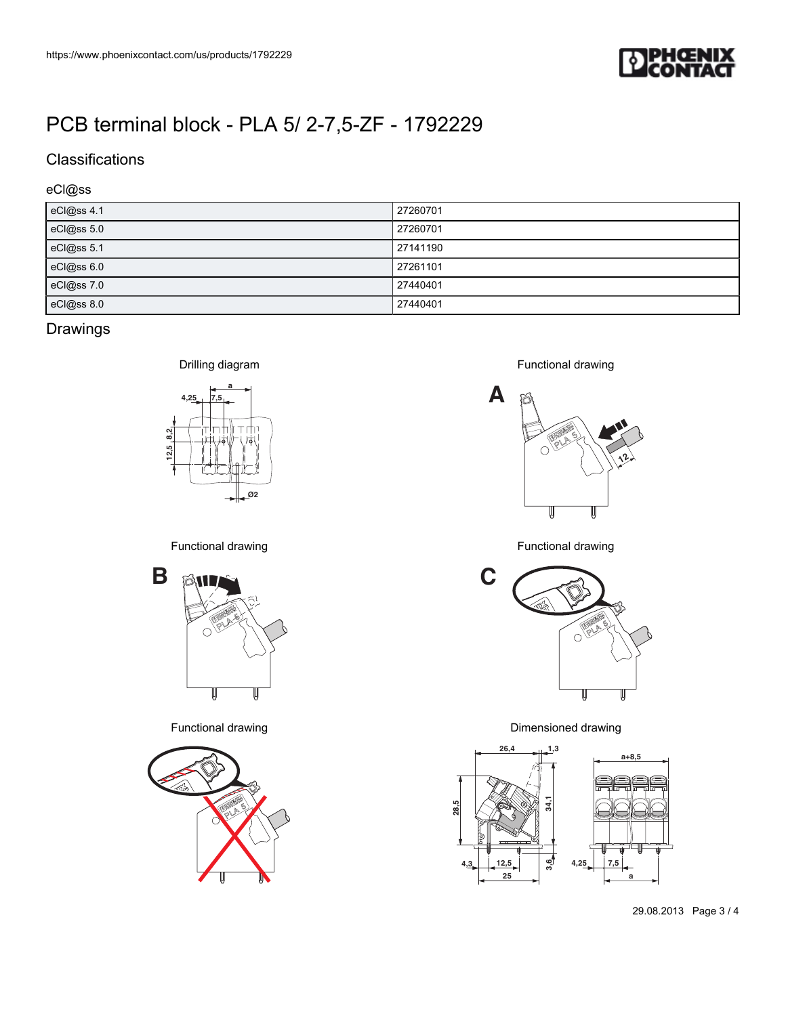

## **Classifications**

### eCl@ss

| eCl@ss 4.1 | 27260701 |
|------------|----------|
| eCl@ss 5.0 | 27260701 |
| eCl@ss 5.1 | 27141190 |
| eCl@ss 6.0 | 27261101 |
| eCl@ss 7.0 | 27440401 |
| eCl@ss 8.0 | 27440401 |

## Drawings



Functional drawing





Functional drawing



Functional drawing



Functional drawing **Example 2018** 2 and 2 and 2 and 2 and 2 and 2 and 2 and 2 and 2 and 2 and 2 and 2 and 2 and 2 and 2 and 2 and 2 and 2 and 2 and 2 and 2 and 2 and 2 and 2 and 2 and 2 and 2 and 2 and 2 and 2 and 2 and 2



29.08.2013 Page 3 / 4